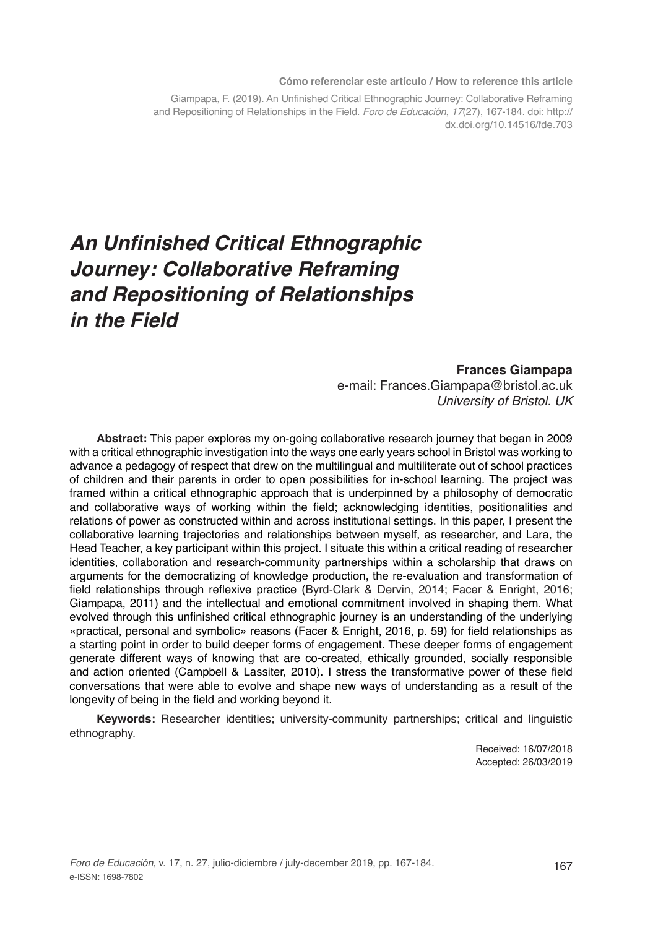#### **Cómo referenciar este artículo / How to reference this article**

Giampapa, F. (2019). An Unfinished Critical Ethnographic Journey: Collaborative Reframing and Repositioning of Relationships in the Field. *Foro de Educación*, *17*(27), 167-184. doi: http:// dx.doi.org/10.14516/fde.703

# **An Unfinished Critical Ethnographic Journey: Collaborative Reframing and Repositioning of Relationships in the Field**

#### **Frances Giampapa**

e-mail: Frances.Giampapa@bristol.ac.uk *University of Bristol. UK*

**Abstract:** This paper explores my on-going collaborative research journey that began in 2009 with a critical ethnographic investigation into the ways one early years school in Bristol was working to advance a pedagogy of respect that drew on the multilingual and multiliterate out of school practices of children and their parents in order to open possibilities for in-school learning. The project was framed within a critical ethnographic approach that is underpinned by a philosophy of democratic and collaborative ways of working within the field; acknowledging identities, positionalities and relations of power as constructed within and across institutional settings. In this paper, I present the collaborative learning trajectories and relationships between myself, as researcher, and Lara, the Head Teacher, a key participant within this project. I situate this within a critical reading of researcher identities, collaboration and research-community partnerships within a scholarship that draws on arguments for the democratizing of knowledge production, the re-evaluation and transformation of field relationships through reflexive practice (Byrd-Clark & Dervin, 2014; Facer & Enright, 2016; Giampapa, 2011) and the intellectual and emotional commitment involved in shaping them. What evolved through this unfinished critical ethnographic journey is an understanding of the underlying «practical, personal and symbolic» reasons (Facer & Enright, 2016, p. 59) for field relationships as a starting point in order to build deeper forms of engagement. These deeper forms of engagement generate different ways of knowing that are co-created, ethically grounded, socially responsible and action oriented (Campbell & Lassiter, 2010). I stress the transformative power of these field conversations that were able to evolve and shape new ways of understanding as a result of the longevity of being in the field and working beyond it.

**Keywords:** Researcher identities; university-community partnerships; critical and linguistic ethnography.

> Received: 16/07/2018 Accepted: 26/03/2019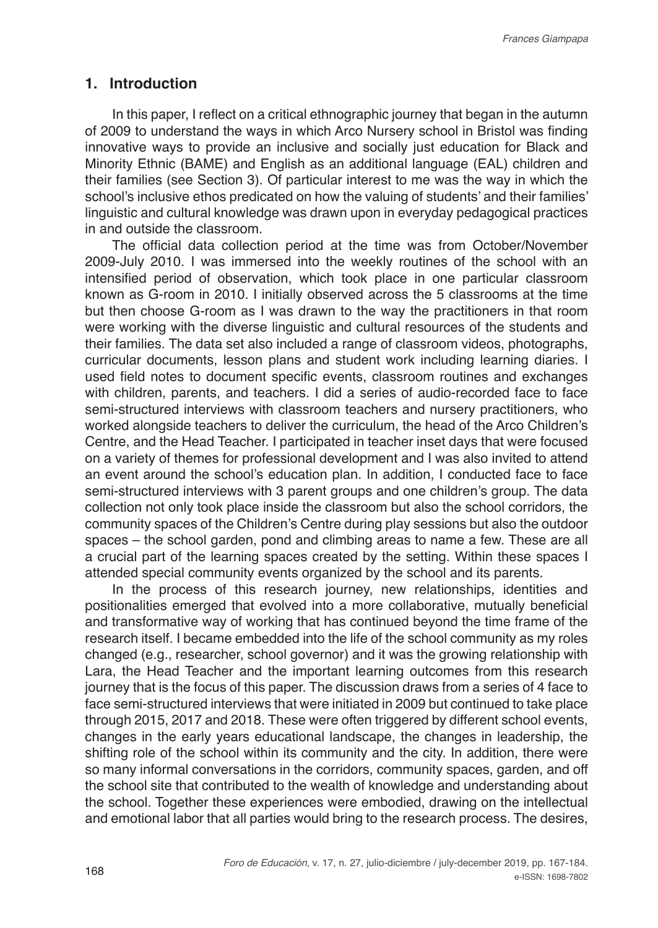## **1. Introduction**

In this paper, I reflect on a critical ethnographic journey that began in the autumn of 2009 to understand the ways in which Arco Nursery school in Bristol was finding innovative ways to provide an inclusive and socially just education for Black and Minority Ethnic (BAME) and English as an additional language (EAL) children and their families (see Section 3). Of particular interest to me was the way in which the school's inclusive ethos predicated on how the valuing of students' and their families' linguistic and cultural knowledge was drawn upon in everyday pedagogical practices in and outside the classroom.

The official data collection period at the time was from October/November 2009-July 2010. I was immersed into the weekly routines of the school with an intensified period of observation, which took place in one particular classroom known as G-room in 2010. I initially observed across the 5 classrooms at the time but then choose G-room as I was drawn to the way the practitioners in that room were working with the diverse linguistic and cultural resources of the students and their families. The data set also included a range of classroom videos, photographs, curricular documents, lesson plans and student work including learning diaries. I used field notes to document specific events, classroom routines and exchanges with children, parents, and teachers. I did a series of audio-recorded face to face semi-structured interviews with classroom teachers and nursery practitioners, who worked alongside teachers to deliver the curriculum, the head of the Arco Children's Centre, and the Head Teacher. I participated in teacher inset days that were focused on a variety of themes for professional development and I was also invited to attend an event around the school's education plan. In addition, I conducted face to face semi-structured interviews with 3 parent groups and one children's group. The data collection not only took place inside the classroom but also the school corridors, the community spaces of the Children's Centre during play sessions but also the outdoor spaces – the school garden, pond and climbing areas to name a few. These are all a crucial part of the learning spaces created by the setting. Within these spaces I attended special community events organized by the school and its parents.

In the process of this research journey, new relationships, identities and positionalities emerged that evolved into a more collaborative, mutually beneficial and transformative way of working that has continued beyond the time frame of the research itself. I became embedded into the life of the school community as my roles changed (e.g., researcher, school governor) and it was the growing relationship with Lara, the Head Teacher and the important learning outcomes from this research journey that is the focus of this paper. The discussion draws from a series of 4 face to face semi-structured interviews that were initiated in 2009 but continued to take place through 2015, 2017 and 2018. These were often triggered by different school events, changes in the early years educational landscape, the changes in leadership, the shifting role of the school within its community and the city. In addition, there were so many informal conversations in the corridors, community spaces, garden, and off the school site that contributed to the wealth of knowledge and understanding about the school. Together these experiences were embodied, drawing on the intellectual and emotional labor that all parties would bring to the research process. The desires,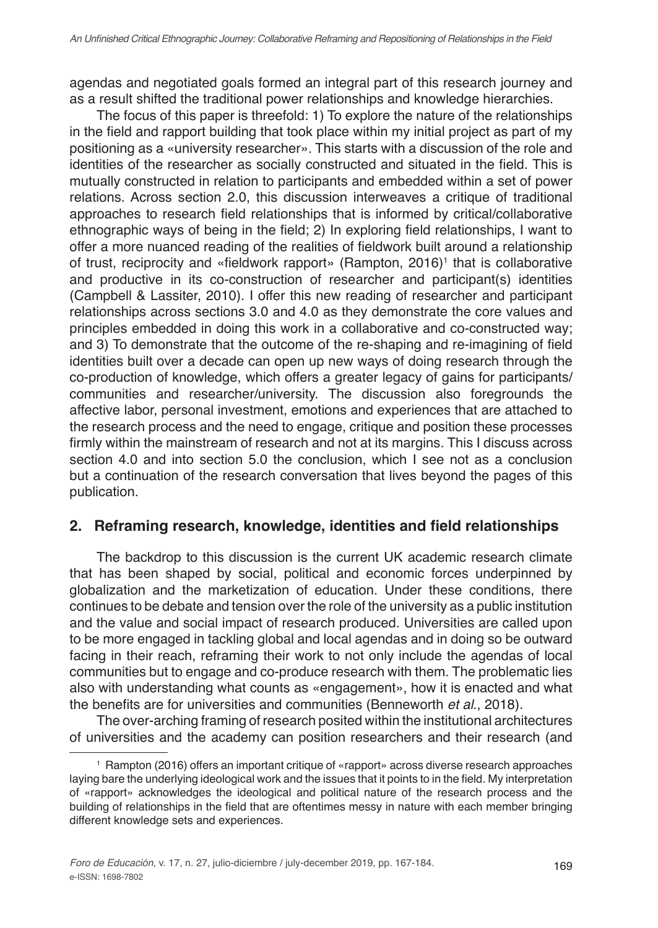agendas and negotiated goals formed an integral part of this research journey and as a result shifted the traditional power relationships and knowledge hierarchies.

The focus of this paper is threefold: 1) To explore the nature of the relationships in the field and rapport building that took place within my initial project as part of my positioning as a «university researcher». This starts with a discussion of the role and identities of the researcher as socially constructed and situated in the field. This is mutually constructed in relation to participants and embedded within a set of power relations. Across section 2.0, this discussion interweaves a critique of traditional approaches to research field relationships that is informed by critical/collaborative ethnographic ways of being in the field; 2) In exploring field relationships, I want to offer a more nuanced reading of the realities of fieldwork built around a relationship of trust, reciprocity and «fieldwork rapport» (Rampton, 2016)<sup>1</sup> that is collaborative and productive in its co-construction of researcher and participant(s) identities (Campbell & Lassiter, 2010). I offer this new reading of researcher and participant relationships across sections 3.0 and 4.0 as they demonstrate the core values and principles embedded in doing this work in a collaborative and co-constructed way; and 3) To demonstrate that the outcome of the re-shaping and re-imagining of field identities built over a decade can open up new ways of doing research through the co-production of knowledge, which offers a greater legacy of gains for participants/ communities and researcher/university. The discussion also foregrounds the affective labor, personal investment, emotions and experiences that are attached to the research process and the need to engage, critique and position these processes firmly within the mainstream of research and not at its margins. This I discuss across section 4.0 and into section 5.0 the conclusion, which I see not as a conclusion but a continuation of the research conversation that lives beyond the pages of this publication.

# **2. Reframing research, knowledge, identities and field relationships**

The backdrop to this discussion is the current UK academic research climate that has been shaped by social, political and economic forces underpinned by globalization and the marketization of education. Under these conditions, there continues to be debate and tension over the role of the university as a public institution and the value and social impact of research produced. Universities are called upon to be more engaged in tackling global and local agendas and in doing so be outward facing in their reach, reframing their work to not only include the agendas of local communities but to engage and co-produce research with them. The problematic lies also with understanding what counts as «engagement», how it is enacted and what the benefits are for universities and communities (Benneworth *et al*., 2018).

The over-arching framing of research posited within the institutional architectures of universities and the academy can position researchers and their research (and

<sup>1</sup> Rampton (2016) offers an important critique of «rapport» across diverse research approaches laying bare the underlying ideological work and the issues that it points to in the field. My interpretation of «rapport» acknowledges the ideological and political nature of the research process and the building of relationships in the field that are oftentimes messy in nature with each member bringing different knowledge sets and experiences.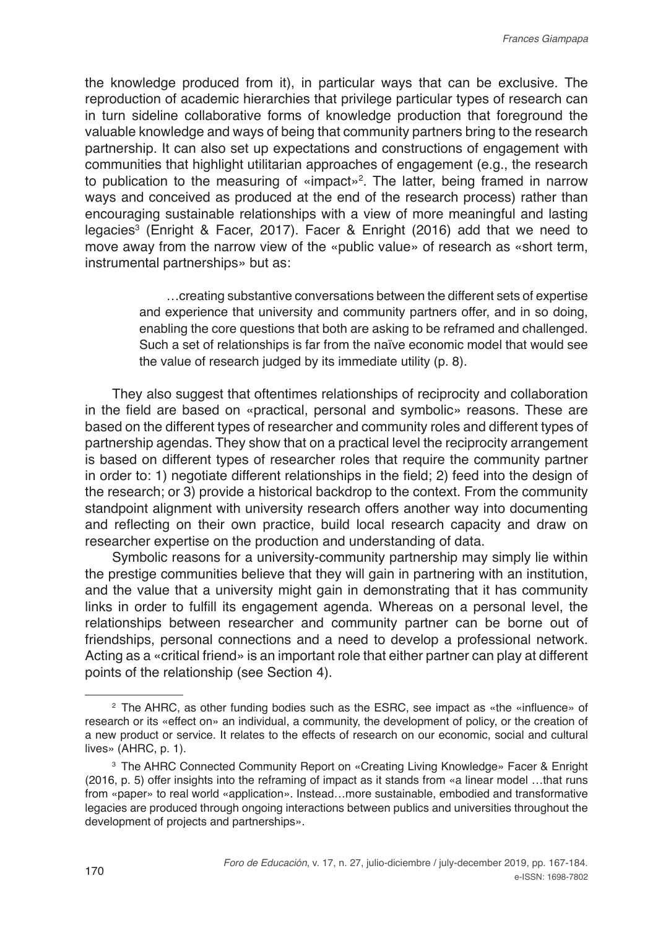the knowledge produced from it), in particular ways that can be exclusive. The reproduction of academic hierarchies that privilege particular types of research can in turn sideline collaborative forms of knowledge production that foreground the valuable knowledge and ways of being that community partners bring to the research partnership. It can also set up expectations and constructions of engagement with communities that highlight utilitarian approaches of engagement (e.g., the research to publication to the measuring of «impact»<sup>2</sup>. The latter, being framed in narrow ways and conceived as produced at the end of the research process) rather than encouraging sustainable relationships with a view of more meaningful and lasting legacies3 (Enright & Facer, 2017). Facer & Enright (2016) add that we need to move away from the narrow view of the «public value» of research as «short term, instrumental partnerships» but as:

> …creating substantive conversations between the different sets of expertise and experience that university and community partners offer, and in so doing, enabling the core questions that both are asking to be reframed and challenged. Such a set of relationships is far from the naïve economic model that would see the value of research judged by its immediate utility (p. 8).

They also suggest that oftentimes relationships of reciprocity and collaboration in the field are based on «practical, personal and symbolic» reasons. These are based on the different types of researcher and community roles and different types of partnership agendas. They show that on a practical level the reciprocity arrangement is based on different types of researcher roles that require the community partner in order to: 1) negotiate different relationships in the field; 2) feed into the design of the research; or 3) provide a historical backdrop to the context. From the community standpoint alignment with university research offers another way into documenting and reflecting on their own practice, build local research capacity and draw on researcher expertise on the production and understanding of data.

Symbolic reasons for a university-community partnership may simply lie within the prestige communities believe that they will gain in partnering with an institution, and the value that a university might gain in demonstrating that it has community links in order to fulfill its engagement agenda. Whereas on a personal level, the relationships between researcher and community partner can be borne out of friendships, personal connections and a need to develop a professional network. Acting as a «critical friend» is an important role that either partner can play at different points of the relationship (see Section 4).

<sup>&</sup>lt;sup>2</sup> The AHRC, as other funding bodies such as the ESRC, see impact as «the «influence» of research or its «effect on» an individual, a community, the development of policy, or the creation of a new product or service. It relates to the effects of research on our economic, social and cultural lives» (AHRC, p. 1).

<sup>3</sup> The AHRC Connected Community Report on «Creating Living Knowledge» Facer & Enright (2016, p. 5) offer insights into the reframing of impact as it stands from «a linear model …that runs from «paper» to real world «application». Instead…more sustainable, embodied and transformative legacies are produced through ongoing interactions between publics and universities throughout the development of projects and partnerships».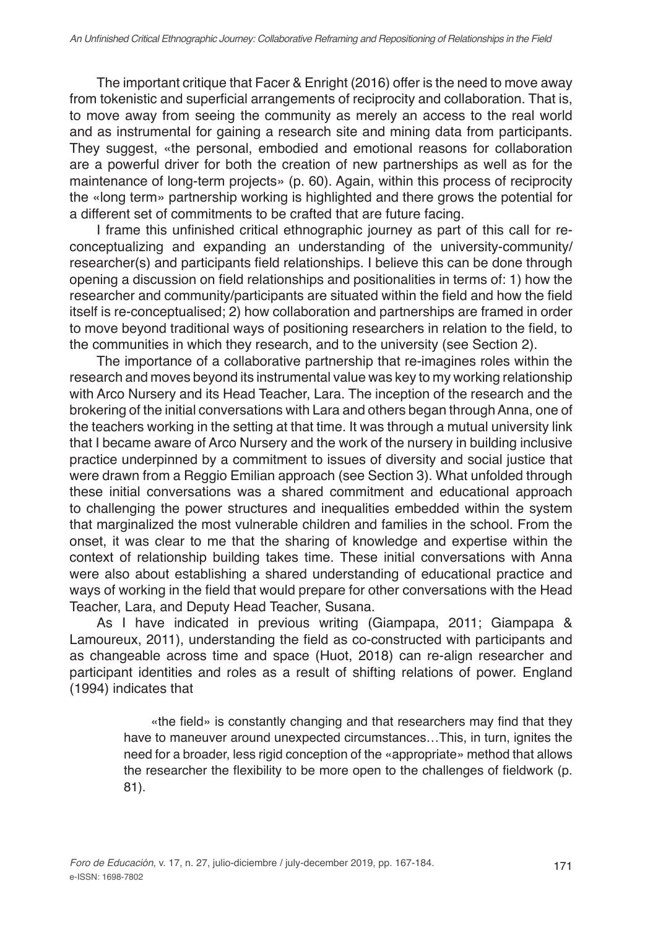The important critique that Facer & Enright (2016) offer is the need to move away from tokenistic and superficial arrangements of reciprocity and collaboration. That is, to move away from seeing the community as merely an access to the real world and as instrumental for gaining a research site and mining data from participants. They suggest, «the personal, embodied and emotional reasons for collaboration are a powerful driver for both the creation of new partnerships as well as for the maintenance of long-term projects» (p. 60). Again, within this process of reciprocity the «long term» partnership working is highlighted and there grows the potential for a different set of commitments to be crafted that are future facing.

I frame this unfinished critical ethnographic journey as part of this call for reconceptualizing and expanding an understanding of the university-community/ researcher(s) and participants field relationships. I believe this can be done through opening a discussion on field relationships and positionalities in terms of: 1) how the researcher and community/participants are situated within the field and how the field itself is re-conceptualised; 2) how collaboration and partnerships are framed in order to move beyond traditional ways of positioning researchers in relation to the field, to the communities in which they research, and to the university (see Section 2).

The importance of a collaborative partnership that re-imagines roles within the research and moves beyond its instrumental value was key to my working relationship with Arco Nursery and its Head Teacher, Lara. The inception of the research and the brokering of the initial conversations with Lara and others began through Anna, one of the teachers working in the setting at that time. It was through a mutual university link that I became aware of Arco Nursery and the work of the nursery in building inclusive practice underpinned by a commitment to issues of diversity and social justice that were drawn from a Reggio Emilian approach (see Section 3). What unfolded through these initial conversations was a shared commitment and educational approach to challenging the power structures and inequalities embedded within the system that marginalized the most vulnerable children and families in the school. From the onset, it was clear to me that the sharing of knowledge and expertise within the context of relationship building takes time. These initial conversations with Anna were also about establishing a shared understanding of educational practice and ways of working in the field that would prepare for other conversations with the Head Teacher, Lara, and Deputy Head Teacher, Susana.

As I have indicated in previous writing (Giampapa, 2011; Giampapa & Lamoureux, 2011), understanding the field as co-constructed with participants and as changeable across time and space (Huot, 2018) can re-align researcher and participant identities and roles as a result of shifting relations of power. England (1994) indicates that

> «the field» is constantly changing and that researchers may find that they have to maneuver around unexpected circumstances…This, in turn, ignites the need for a broader, less rigid conception of the «appropriate» method that allows the researcher the flexibility to be more open to the challenges of fieldwork (p. 81).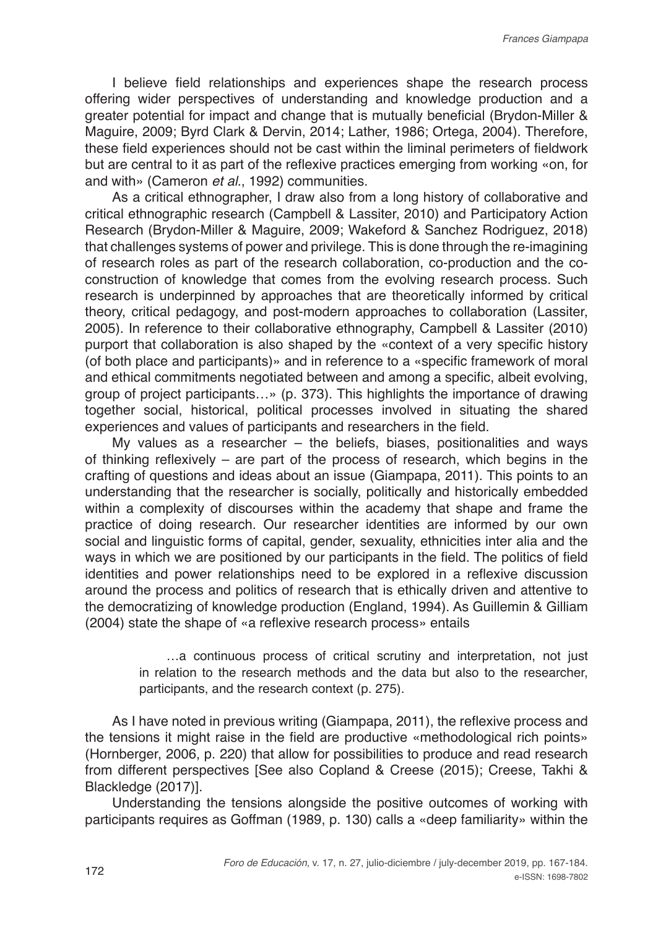I believe field relationships and experiences shape the research process offering wider perspectives of understanding and knowledge production and a greater potential for impact and change that is mutually beneficial (Brydon-Miller & Maguire, 2009; Byrd Clark & Dervin, 2014; Lather, 1986; Ortega, 2004). Therefore, these field experiences should not be cast within the liminal perimeters of fieldwork but are central to it as part of the reflexive practices emerging from working «on, for and with» (Cameron *et al*., 1992) communities.

As a critical ethnographer, I draw also from a long history of collaborative and critical ethnographic research (Campbell & Lassiter, 2010) and Participatory Action Research (Brydon-Miller & Maguire, 2009; Wakeford & Sanchez Rodriguez, 2018) that challenges systems of power and privilege. This is done through the re-imagining of research roles as part of the research collaboration, co-production and the coconstruction of knowledge that comes from the evolving research process. Such research is underpinned by approaches that are theoretically informed by critical theory, critical pedagogy, and post-modern approaches to collaboration (Lassiter, 2005). In reference to their collaborative ethnography, Campbell & Lassiter (2010) purport that collaboration is also shaped by the «context of a very specific history (of both place and participants)» and in reference to a «specific framework of moral and ethical commitments negotiated between and among a specific, albeit evolving, group of project participants…» (p. 373). This highlights the importance of drawing together social, historical, political processes involved in situating the shared experiences and values of participants and researchers in the field.

My values as a researcher – the beliefs, biases, positionalities and ways of thinking reflexively – are part of the process of research, which begins in the crafting of questions and ideas about an issue (Giampapa, 2011). This points to an understanding that the researcher is socially, politically and historically embedded within a complexity of discourses within the academy that shape and frame the practice of doing research. Our researcher identities are informed by our own social and linguistic forms of capital, gender, sexuality, ethnicities inter alia and the ways in which we are positioned by our participants in the field. The politics of field identities and power relationships need to be explored in a reflexive discussion around the process and politics of research that is ethically driven and attentive to the democratizing of knowledge production (England, 1994). As Guillemin & Gilliam (2004) state the shape of «a reflexive research process» entails

> …a continuous process of critical scrutiny and interpretation, not just in relation to the research methods and the data but also to the researcher, participants, and the research context (p. 275).

As I have noted in previous writing (Giampapa, 2011), the reflexive process and the tensions it might raise in the field are productive «methodological rich points» (Hornberger, 2006, p. 220) that allow for possibilities to produce and read research from different perspectives [See also Copland & Creese (2015); Creese, Takhi & Blackledge (2017)].

Understanding the tensions alongside the positive outcomes of working with participants requires as Goffman (1989, p. 130) calls a «deep familiarity» within the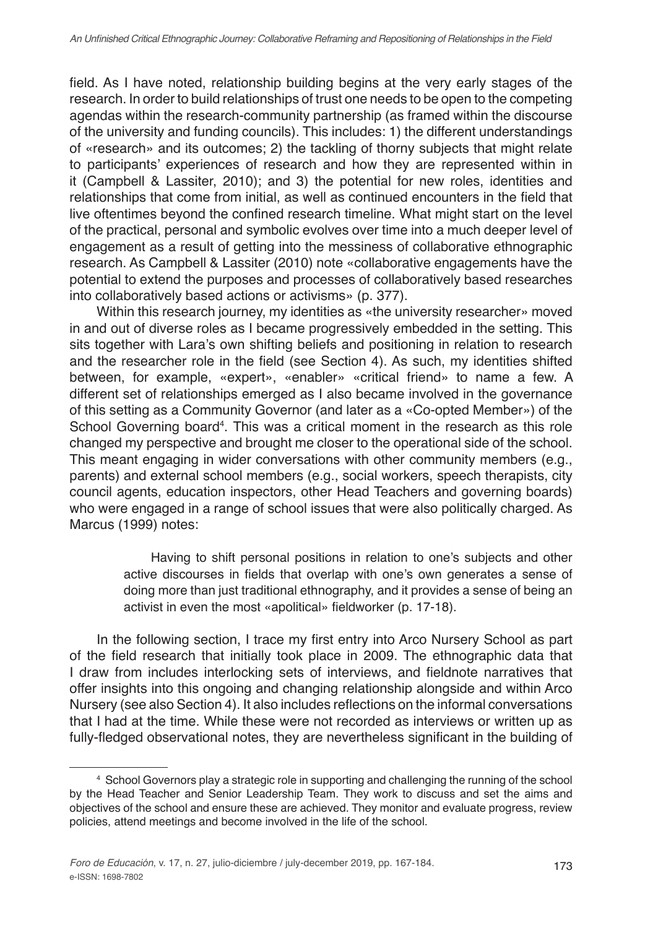field. As I have noted, relationship building begins at the very early stages of the research. In order to build relationships of trust one needs to be open to the competing agendas within the research-community partnership (as framed within the discourse of the university and funding councils). This includes: 1) the different understandings of «research» and its outcomes; 2) the tackling of thorny subjects that might relate to participants' experiences of research and how they are represented within in it (Campbell & Lassiter, 2010); and 3) the potential for new roles, identities and relationships that come from initial, as well as continued encounters in the field that live oftentimes beyond the confined research timeline. What might start on the level of the practical, personal and symbolic evolves over time into a much deeper level of engagement as a result of getting into the messiness of collaborative ethnographic research. As Campbell & Lassiter (2010) note «collaborative engagements have the potential to extend the purposes and processes of collaboratively based researches into collaboratively based actions or activisms» (p. 377).

Within this research journey, my identities as «the university researcher» moved in and out of diverse roles as I became progressively embedded in the setting. This sits together with Lara's own shifting beliefs and positioning in relation to research and the researcher role in the field (see Section 4). As such, my identities shifted between, for example, «expert», «enabler» «critical friend» to name a few. A different set of relationships emerged as I also became involved in the governance of this setting as a Community Governor (and later as a «Co-opted Member») of the School Governing board<sup>4</sup>. This was a critical moment in the research as this role changed my perspective and brought me closer to the operational side of the school. This meant engaging in wider conversations with other community members (e.g., parents) and external school members (e.g., social workers, speech therapists, city council agents, education inspectors, other Head Teachers and governing boards) who were engaged in a range of school issues that were also politically charged. As Marcus (1999) notes:

> Having to shift personal positions in relation to one's subjects and other active discourses in fields that overlap with one's own generates a sense of doing more than just traditional ethnography, and it provides a sense of being an activist in even the most «apolitical» fieldworker (p. 17-18).

In the following section, I trace my first entry into Arco Nursery School as part of the field research that initially took place in 2009. The ethnographic data that I draw from includes interlocking sets of interviews, and fieldnote narratives that offer insights into this ongoing and changing relationship alongside and within Arco Nursery (see also Section 4). It also includes reflections on the informal conversations that I had at the time. While these were not recorded as interviews or written up as fully-fledged observational notes, they are nevertheless significant in the building of

<sup>4</sup> School Governors play a strategic role in supporting and challenging the running of the school by the Head Teacher and Senior Leadership Team. They work to discuss and set the aims and objectives of the school and ensure these are achieved. They monitor and evaluate progress, review policies, attend meetings and become involved in the life of the school.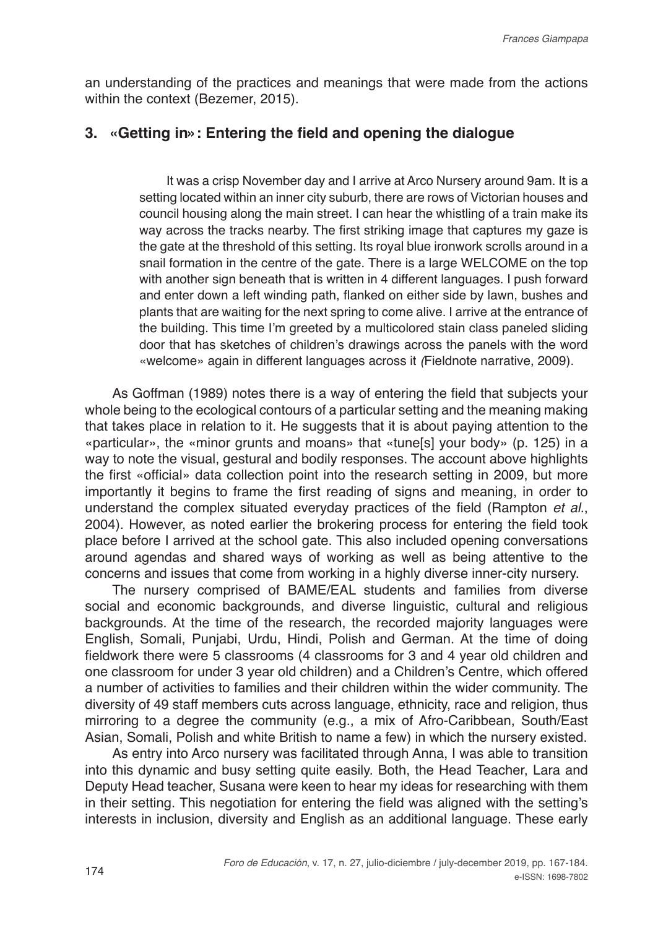an understanding of the practices and meanings that were made from the actions within the context (Bezemer, 2015).

#### **3. «Getting in»: Entering the field and opening the dialogue**

It was a crisp November day and I arrive at Arco Nursery around 9am. It is a setting located within an inner city suburb, there are rows of Victorian houses and council housing along the main street. I can hear the whistling of a train make its way across the tracks nearby. The first striking image that captures my gaze is the gate at the threshold of this setting. Its royal blue ironwork scrolls around in a snail formation in the centre of the gate. There is a large WELCOME on the top with another sign beneath that is written in 4 different languages. I push forward and enter down a left winding path, flanked on either side by lawn, bushes and plants that are waiting for the next spring to come alive. I arrive at the entrance of the building. This time I'm greeted by a multicolored stain class paneled sliding door that has sketches of children's drawings across the panels with the word «welcome» again in different languages across it *(*Fieldnote narrative, 2009).

As Goffman (1989) notes there is a way of entering the field that subjects your whole being to the ecological contours of a particular setting and the meaning making that takes place in relation to it. He suggests that it is about paying attention to the «particular», the «minor grunts and moans» that «tune[s] your body» (p. 125) in a way to note the visual, gestural and bodily responses. The account above highlights the first «official» data collection point into the research setting in 2009, but more importantly it begins to frame the first reading of signs and meaning, in order to understand the complex situated everyday practices of the field (Rampton *et al.*, 2004). However, as noted earlier the brokering process for entering the field took place before I arrived at the school gate. This also included opening conversations around agendas and shared ways of working as well as being attentive to the concerns and issues that come from working in a highly diverse inner-city nursery.

The nursery comprised of BAME/EAL students and families from diverse social and economic backgrounds, and diverse linguistic, cultural and religious backgrounds. At the time of the research, the recorded majority languages were English, Somali, Punjabi, Urdu, Hindi, Polish and German. At the time of doing fieldwork there were 5 classrooms (4 classrooms for 3 and 4 year old children and one classroom for under 3 year old children) and a Children's Centre, which offered a number of activities to families and their children within the wider community. The diversity of 49 staff members cuts across language, ethnicity, race and religion, thus mirroring to a degree the community (e.g., a mix of Afro-Caribbean, South/East Asian, Somali, Polish and white British to name a few) in which the nursery existed.

As entry into Arco nursery was facilitated through Anna, I was able to transition into this dynamic and busy setting quite easily. Both, the Head Teacher, Lara and Deputy Head teacher, Susana were keen to hear my ideas for researching with them in their setting. This negotiation for entering the field was aligned with the setting's interests in inclusion, diversity and English as an additional language. These early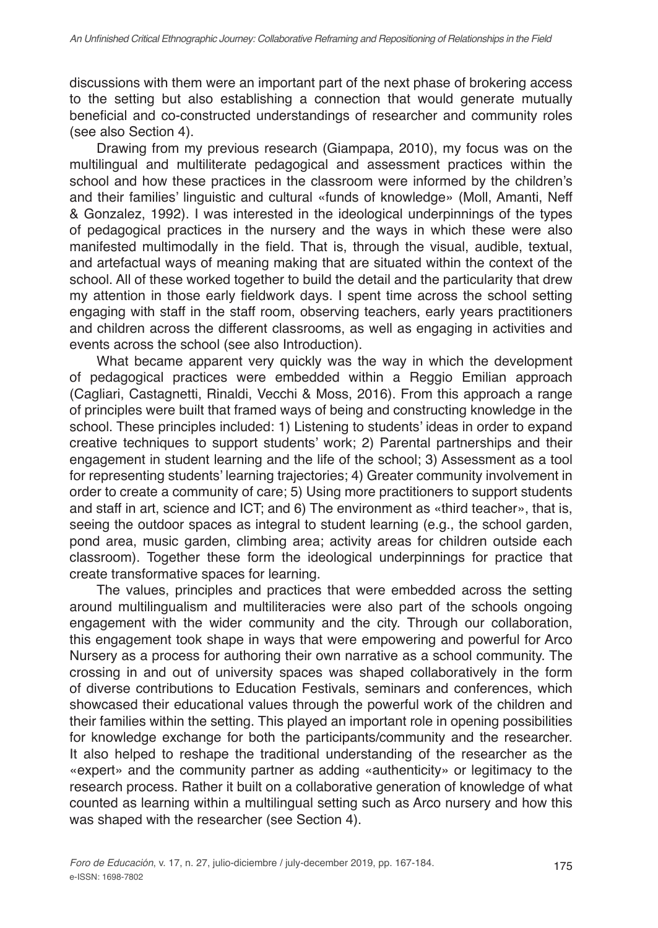discussions with them were an important part of the next phase of brokering access to the setting but also establishing a connection that would generate mutually beneficial and co-constructed understandings of researcher and community roles (see also Section 4).

Drawing from my previous research (Giampapa, 2010), my focus was on the multilingual and multiliterate pedagogical and assessment practices within the school and how these practices in the classroom were informed by the children's and their families' linguistic and cultural «funds of knowledge» (Moll, Amanti, Neff & Gonzalez, 1992). I was interested in the ideological underpinnings of the types of pedagogical practices in the nursery and the ways in which these were also manifested multimodally in the field. That is, through the visual, audible, textual, and artefactual ways of meaning making that are situated within the context of the school. All of these worked together to build the detail and the particularity that drew my attention in those early fieldwork days. I spent time across the school setting engaging with staff in the staff room, observing teachers, early years practitioners and children across the different classrooms, as well as engaging in activities and events across the school (see also Introduction).

What became apparent very quickly was the way in which the development of pedagogical practices were embedded within a Reggio Emilian approach (Cagliari, Castagnetti, Rinaldi, Vecchi & Moss, 2016). From this approach a range of principles were built that framed ways of being and constructing knowledge in the school. These principles included: 1) Listening to students' ideas in order to expand creative techniques to support students' work; 2) Parental partnerships and their engagement in student learning and the life of the school; 3) Assessment as a tool for representing students' learning trajectories; 4) Greater community involvement in order to create a community of care; 5) Using more practitioners to support students and staff in art, science and ICT; and 6) The environment as «third teacher», that is, seeing the outdoor spaces as integral to student learning (e.g., the school garden, pond area, music garden, climbing area; activity areas for children outside each classroom). Together these form the ideological underpinnings for practice that create transformative spaces for learning.

The values, principles and practices that were embedded across the setting around multilingualism and multiliteracies were also part of the schools ongoing engagement with the wider community and the city. Through our collaboration, this engagement took shape in ways that were empowering and powerful for Arco Nursery as a process for authoring their own narrative as a school community. The crossing in and out of university spaces was shaped collaboratively in the form of diverse contributions to Education Festivals, seminars and conferences, which showcased their educational values through the powerful work of the children and their families within the setting. This played an important role in opening possibilities for knowledge exchange for both the participants/community and the researcher. It also helped to reshape the traditional understanding of the researcher as the «expert» and the community partner as adding «authenticity» or legitimacy to the research process. Rather it built on a collaborative generation of knowledge of what counted as learning within a multilingual setting such as Arco nursery and how this was shaped with the researcher (see Section 4).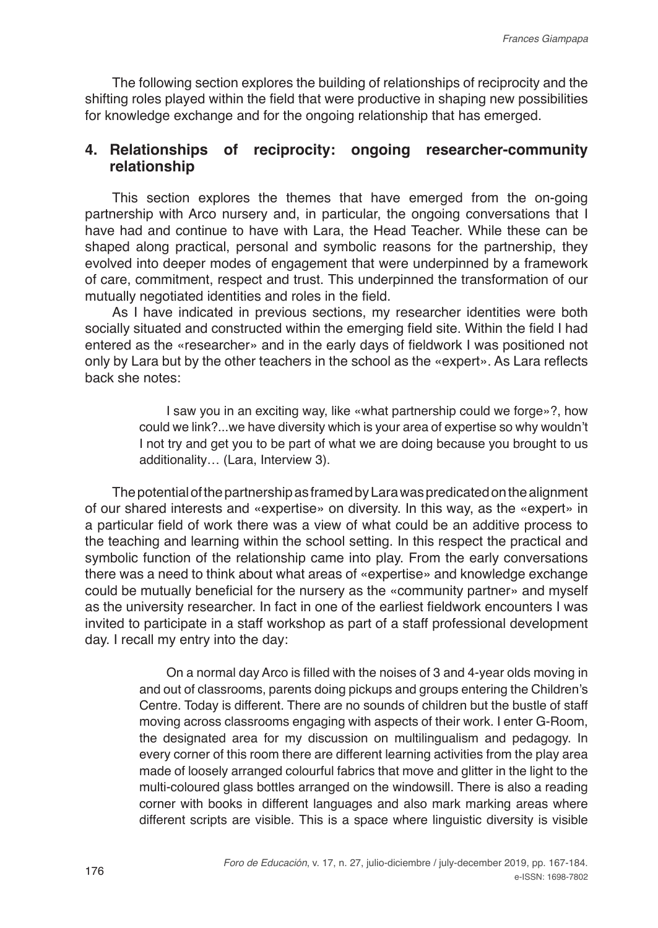The following section explores the building of relationships of reciprocity and the shifting roles played within the field that were productive in shaping new possibilities for knowledge exchange and for the ongoing relationship that has emerged.

## **4. Relationships of reciprocity: ongoing researcher-community relationship**

This section explores the themes that have emerged from the on-going partnership with Arco nursery and, in particular, the ongoing conversations that I have had and continue to have with Lara, the Head Teacher. While these can be shaped along practical, personal and symbolic reasons for the partnership, they evolved into deeper modes of engagement that were underpinned by a framework of care, commitment, respect and trust. This underpinned the transformation of our mutually negotiated identities and roles in the field.

As I have indicated in previous sections, my researcher identities were both socially situated and constructed within the emerging field site. Within the field I had entered as the «researcher» and in the early days of fieldwork I was positioned not only by Lara but by the other teachers in the school as the «expert». As Lara reflects back she notes:

> I saw you in an exciting way, like «what partnership could we forge»?, how could we link?...we have diversity which is your area of expertise so why wouldn't I not try and get you to be part of what we are doing because you brought to us additionality… (Lara, Interview 3).

The potential of the partnership as framed by Lara was predicated on the alignment of our shared interests and «expertise» on diversity. In this way, as the «expert» in a particular field of work there was a view of what could be an additive process to the teaching and learning within the school setting. In this respect the practical and symbolic function of the relationship came into play. From the early conversations there was a need to think about what areas of «expertise» and knowledge exchange could be mutually beneficial for the nursery as the «community partner» and myself as the university researcher. In fact in one of the earliest fieldwork encounters I was invited to participate in a staff workshop as part of a staff professional development day. I recall my entry into the day:

> On a normal day Arco is filled with the noises of 3 and 4-year olds moving in and out of classrooms, parents doing pickups and groups entering the Children's Centre. Today is different. There are no sounds of children but the bustle of staff moving across classrooms engaging with aspects of their work. I enter G-Room, the designated area for my discussion on multilingualism and pedagogy. In every corner of this room there are different learning activities from the play area made of loosely arranged colourful fabrics that move and glitter in the light to the multi-coloured glass bottles arranged on the windowsill. There is also a reading corner with books in different languages and also mark marking areas where different scripts are visible. This is a space where linguistic diversity is visible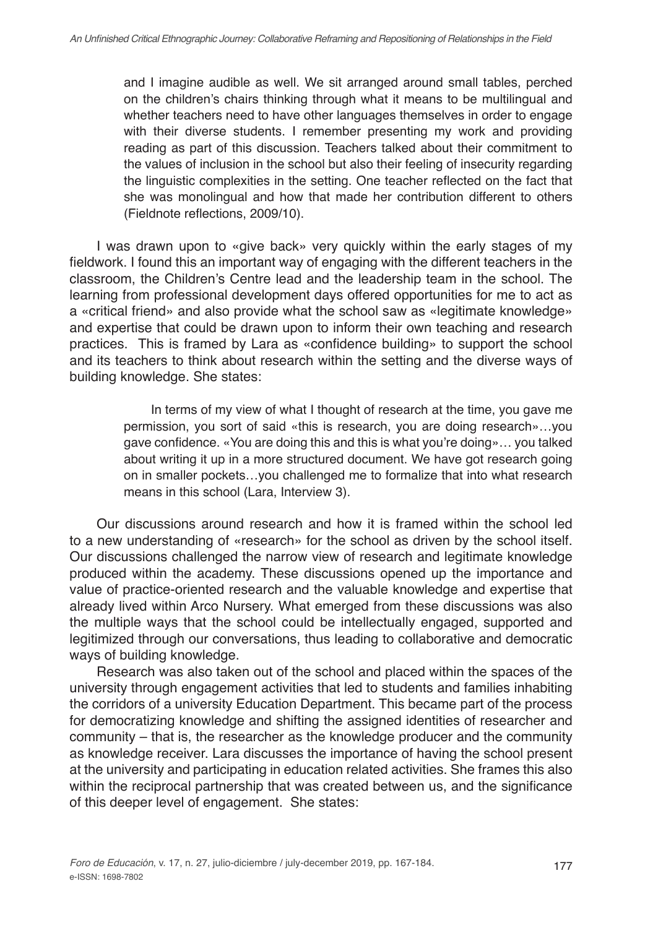and I imagine audible as well. We sit arranged around small tables, perched on the children's chairs thinking through what it means to be multilingual and whether teachers need to have other languages themselves in order to engage with their diverse students. I remember presenting my work and providing reading as part of this discussion. Teachers talked about their commitment to the values of inclusion in the school but also their feeling of insecurity regarding the linguistic complexities in the setting. One teacher reflected on the fact that she was monolingual and how that made her contribution different to others (Fieldnote reflections, 2009/10).

I was drawn upon to «give back» very quickly within the early stages of my fieldwork. I found this an important way of engaging with the different teachers in the classroom, the Children's Centre lead and the leadership team in the school. The learning from professional development days offered opportunities for me to act as a «critical friend» and also provide what the school saw as «legitimate knowledge» and expertise that could be drawn upon to inform their own teaching and research practices. This is framed by Lara as «confidence building» to support the school and its teachers to think about research within the setting and the diverse ways of building knowledge. She states:

> In terms of my view of what I thought of research at the time, you gave me permission, you sort of said «this is research, you are doing research»…you gave confidence. «You are doing this and this is what you're doing»… you talked about writing it up in a more structured document. We have got research going on in smaller pockets…you challenged me to formalize that into what research means in this school (Lara, Interview 3).

Our discussions around research and how it is framed within the school led to a new understanding of «research» for the school as driven by the school itself. Our discussions challenged the narrow view of research and legitimate knowledge produced within the academy. These discussions opened up the importance and value of practice-oriented research and the valuable knowledge and expertise that already lived within Arco Nursery. What emerged from these discussions was also the multiple ways that the school could be intellectually engaged, supported and legitimized through our conversations, thus leading to collaborative and democratic ways of building knowledge.

Research was also taken out of the school and placed within the spaces of the university through engagement activities that led to students and families inhabiting the corridors of a university Education Department. This became part of the process for democratizing knowledge and shifting the assigned identities of researcher and community – that is, the researcher as the knowledge producer and the community as knowledge receiver. Lara discusses the importance of having the school present at the university and participating in education related activities. She frames this also within the reciprocal partnership that was created between us, and the significance of this deeper level of engagement. She states: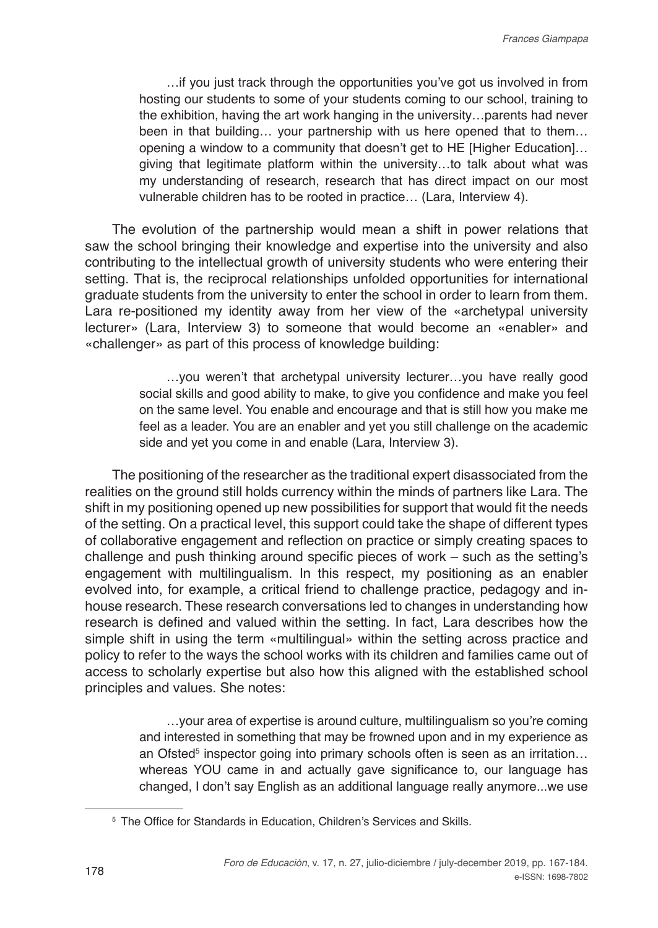…if you just track through the opportunities you've got us involved in from hosting our students to some of your students coming to our school, training to the exhibition, having the art work hanging in the university…parents had never been in that building… your partnership with us here opened that to them… opening a window to a community that doesn't get to HE [Higher Education]… giving that legitimate platform within the university…to talk about what was my understanding of research, research that has direct impact on our most vulnerable children has to be rooted in practice… (Lara, Interview 4).

The evolution of the partnership would mean a shift in power relations that saw the school bringing their knowledge and expertise into the university and also contributing to the intellectual growth of university students who were entering their setting. That is, the reciprocal relationships unfolded opportunities for international graduate students from the university to enter the school in order to learn from them. Lara re-positioned my identity away from her view of the «archetypal university lecturer» (Lara, Interview 3) to someone that would become an «enabler» and «challenger» as part of this process of knowledge building:

> …you weren't that archetypal university lecturer…you have really good social skills and good ability to make, to give you confidence and make you feel on the same level. You enable and encourage and that is still how you make me feel as a leader. You are an enabler and yet you still challenge on the academic side and yet you come in and enable (Lara, Interview 3).

The positioning of the researcher as the traditional expert disassociated from the realities on the ground still holds currency within the minds of partners like Lara. The shift in my positioning opened up new possibilities for support that would fit the needs of the setting. On a practical level, this support could take the shape of different types of collaborative engagement and reflection on practice or simply creating spaces to challenge and push thinking around specific pieces of work – such as the setting's engagement with multilingualism. In this respect, my positioning as an enabler evolved into, for example, a critical friend to challenge practice, pedagogy and inhouse research. These research conversations led to changes in understanding how research is defined and valued within the setting. In fact, Lara describes how the simple shift in using the term «multilingual» within the setting across practice and policy to refer to the ways the school works with its children and families came out of access to scholarly expertise but also how this aligned with the established school principles and values. She notes:

> …your area of expertise is around culture, multilingualism so you're coming and interested in something that may be frowned upon and in my experience as an Ofsted<sup>5</sup> inspector going into primary schools often is seen as an irritation... whereas YOU came in and actually gave significance to, our language has changed, I don't say English as an additional language really anymore...we use

<sup>&</sup>lt;sup>5</sup> The Office for Standards in Education, Children's Services and Skills.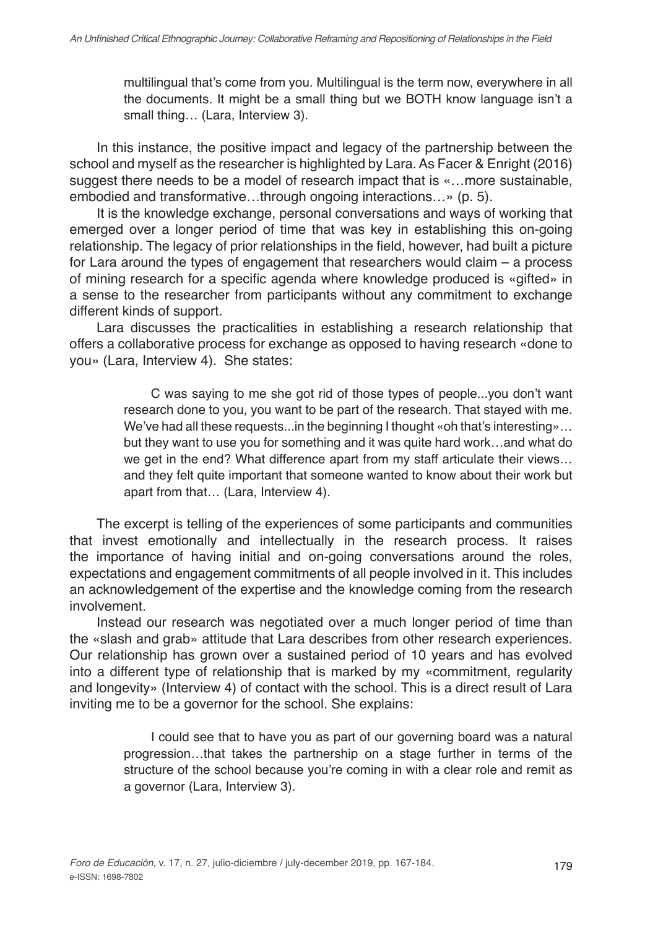multilingual that's come from you. Multilingual is the term now, everywhere in all the documents. It might be a small thing but we BOTH know language isn't a small thing… (Lara, Interview 3).

In this instance, the positive impact and legacy of the partnership between the school and myself as the researcher is highlighted by Lara. As Facer & Enright (2016) suggest there needs to be a model of research impact that is «…more sustainable, embodied and transformative…through ongoing interactions…» (p. 5).

It is the knowledge exchange, personal conversations and ways of working that emerged over a longer period of time that was key in establishing this on-going relationship. The legacy of prior relationships in the field, however, had built a picture for Lara around the types of engagement that researchers would claim – a process of mining research for a specific agenda where knowledge produced is «gifted» in a sense to the researcher from participants without any commitment to exchange different kinds of support.

Lara discusses the practicalities in establishing a research relationship that offers a collaborative process for exchange as opposed to having research «done to you» (Lara, Interview 4). She states:

> C was saying to me she got rid of those types of people...you don't want research done to you, you want to be part of the research. That stayed with me. We've had all these requests...in the beginning I thought «oh that's interesting»... but they want to use you for something and it was quite hard work…and what do we get in the end? What difference apart from my staff articulate their views… and they felt quite important that someone wanted to know about their work but apart from that… (Lara, Interview 4).

The excerpt is telling of the experiences of some participants and communities that invest emotionally and intellectually in the research process. It raises the importance of having initial and on-going conversations around the roles, expectations and engagement commitments of all people involved in it. This includes an acknowledgement of the expertise and the knowledge coming from the research involvement.

Instead our research was negotiated over a much longer period of time than the «slash and grab» attitude that Lara describes from other research experiences. Our relationship has grown over a sustained period of 10 years and has evolved into a different type of relationship that is marked by my «commitment, regularity and longevity» (Interview 4) of contact with the school. This is a direct result of Lara inviting me to be a governor for the school. She explains:

> I could see that to have you as part of our governing board was a natural progression…that takes the partnership on a stage further in terms of the structure of the school because you're coming in with a clear role and remit as a governor (Lara, Interview 3).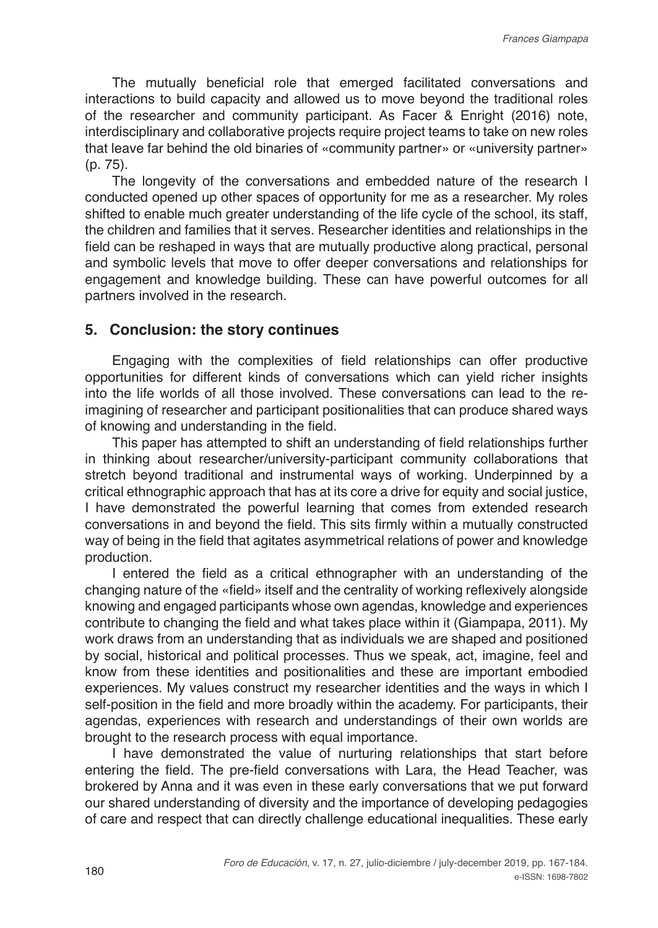The mutually beneficial role that emerged facilitated conversations and interactions to build capacity and allowed us to move beyond the traditional roles of the researcher and community participant. As Facer & Enright (2016) note, interdisciplinary and collaborative projects require project teams to take on new roles that leave far behind the old binaries of «community partner» or «university partner» (p. 75).

The longevity of the conversations and embedded nature of the research I conducted opened up other spaces of opportunity for me as a researcher. My roles shifted to enable much greater understanding of the life cycle of the school, its staff, the children and families that it serves. Researcher identities and relationships in the field can be reshaped in ways that are mutually productive along practical, personal and symbolic levels that move to offer deeper conversations and relationships for engagement and knowledge building. These can have powerful outcomes for all partners involved in the research.

#### **5. Conclusion: the story continues**

Engaging with the complexities of field relationships can offer productive opportunities for different kinds of conversations which can yield richer insights into the life worlds of all those involved. These conversations can lead to the reimagining of researcher and participant positionalities that can produce shared ways of knowing and understanding in the field.

This paper has attempted to shift an understanding of field relationships further in thinking about researcher/university-participant community collaborations that stretch beyond traditional and instrumental ways of working. Underpinned by a critical ethnographic approach that has at its core a drive for equity and social justice, I have demonstrated the powerful learning that comes from extended research conversations in and beyond the field. This sits firmly within a mutually constructed way of being in the field that agitates asymmetrical relations of power and knowledge production.

I entered the field as a critical ethnographer with an understanding of the changing nature of the «field» itself and the centrality of working reflexively alongside knowing and engaged participants whose own agendas, knowledge and experiences contribute to changing the field and what takes place within it (Giampapa, 2011). My work draws from an understanding that as individuals we are shaped and positioned by social, historical and political processes. Thus we speak, act, imagine, feel and know from these identities and positionalities and these are important embodied experiences. My values construct my researcher identities and the ways in which I self-position in the field and more broadly within the academy. For participants, their agendas, experiences with research and understandings of their own worlds are brought to the research process with equal importance.

I have demonstrated the value of nurturing relationships that start before entering the field. The pre-field conversations with Lara, the Head Teacher, was brokered by Anna and it was even in these early conversations that we put forward our shared understanding of diversity and the importance of developing pedagogies of care and respect that can directly challenge educational inequalities. These early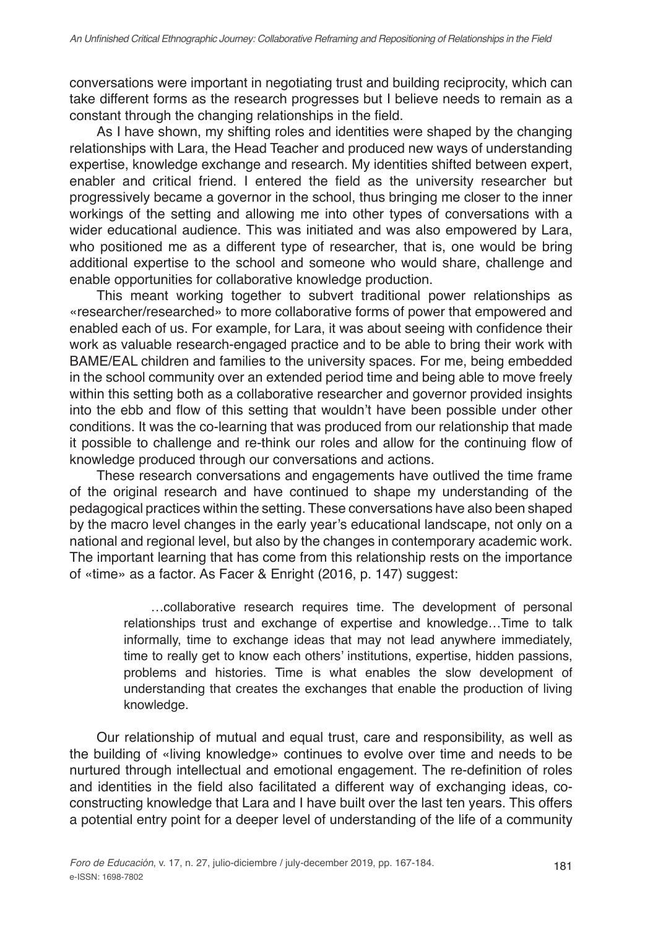conversations were important in negotiating trust and building reciprocity, which can take different forms as the research progresses but I believe needs to remain as a constant through the changing relationships in the field.

As I have shown, my shifting roles and identities were shaped by the changing relationships with Lara, the Head Teacher and produced new ways of understanding expertise, knowledge exchange and research. My identities shifted between expert, enabler and critical friend. I entered the field as the university researcher but progressively became a governor in the school, thus bringing me closer to the inner workings of the setting and allowing me into other types of conversations with a wider educational audience. This was initiated and was also empowered by Lara, who positioned me as a different type of researcher, that is, one would be bring additional expertise to the school and someone who would share, challenge and enable opportunities for collaborative knowledge production.

This meant working together to subvert traditional power relationships as «researcher/researched» to more collaborative forms of power that empowered and enabled each of us. For example, for Lara, it was about seeing with confidence their work as valuable research-engaged practice and to be able to bring their work with BAME/EAL children and families to the university spaces. For me, being embedded in the school community over an extended period time and being able to move freely within this setting both as a collaborative researcher and governor provided insights into the ebb and flow of this setting that wouldn't have been possible under other conditions. It was the co-learning that was produced from our relationship that made it possible to challenge and re-think our roles and allow for the continuing flow of knowledge produced through our conversations and actions.

These research conversations and engagements have outlived the time frame of the original research and have continued to shape my understanding of the pedagogical practices within the setting. These conversations have also been shaped by the macro level changes in the early year's educational landscape, not only on a national and regional level, but also by the changes in contemporary academic work. The important learning that has come from this relationship rests on the importance of «time» as a factor. As Facer & Enright (2016, p. 147) suggest:

> …collaborative research requires time. The development of personal relationships trust and exchange of expertise and knowledge…Time to talk informally, time to exchange ideas that may not lead anywhere immediately, time to really get to know each others' institutions, expertise, hidden passions, problems and histories. Time is what enables the slow development of understanding that creates the exchanges that enable the production of living knowledge.

Our relationship of mutual and equal trust, care and responsibility, as well as the building of «living knowledge» continues to evolve over time and needs to be nurtured through intellectual and emotional engagement. The re-definition of roles and identities in the field also facilitated a different way of exchanging ideas, coconstructing knowledge that Lara and I have built over the last ten years. This offers a potential entry point for a deeper level of understanding of the life of a community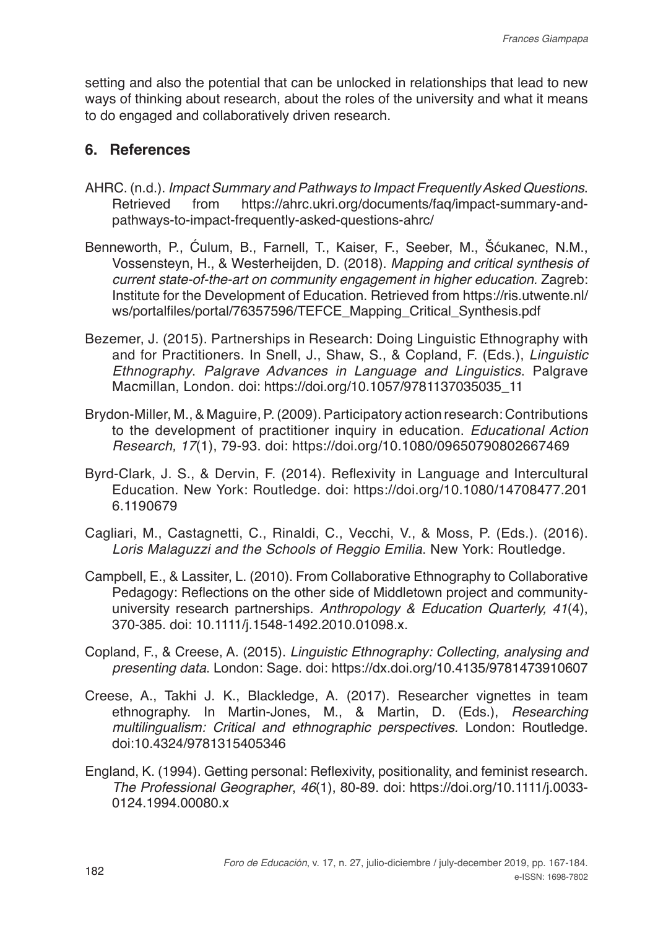setting and also the potential that can be unlocked in relationships that lead to new ways of thinking about research, about the roles of the university and what it means to do engaged and collaboratively driven research.

### **6. References**

- AHRC. (n.d.). *Impact Summary and Pathways to Impact Frequently Asked Questions*. https://ahrc.ukri.org/documents/fag/impact-summary-andpathways-to-impact-frequently-asked-questions-ahrc/
- Benneworth, P., Ćulum, B., Farnell, T., Kaiser, F., Seeber, M., Šćukanec, N.M., Vossensteyn, H., & Westerheijden, D. (2018). *Mapping and critical synthesis of current state-of-the-art on community engagement in higher education.* Zagreb: Institute for the Development of Education. Retrieved from https://ris.utwente.nl/ ws/portalfiles/portal/76357596/TEFCE\_Mapping\_Critical\_Synthesis.pdf
- Bezemer, J. (2015). Partnerships in Research: Doing Linguistic Ethnography with and for Practitioners. In Snell, J., Shaw, S., & Copland, F. (Eds.), *Linguistic Ethnography*. *Palgrave Advances in Language and Linguistics*. Palgrave Macmillan, London. doi: https://doi.org/10.1057/9781137035035\_11
- Brydon-Miller, M., & Maguire, P. (2009). Participatory action research: Contributions to the development of practitioner inquiry in education. *Educational Action Research, 17*(1), 79-93. doi: https://doi.org/10.1080/09650790802667469
- Byrd-Clark, J. S., & Dervin, F. (2014). Reflexivity in Language and Intercultural Education. New York: Routledge. doi: https://doi.org/10.1080/14708477.201 6.1190679
- Cagliari, M., Castagnetti, C., Rinaldi, C., Vecchi, V., & Moss, P. (Eds.). (2016). *Loris Malaguzzi and the Schools of Reggio Emilia*. New York: Routledge.
- Campbell, E., & Lassiter, L. (2010). From Collaborative Ethnography to Collaborative Pedagogy: Reflections on the other side of Middletown project and communityuniversity research partnerships. *Anthropology & Education Quarterly, 41*(4), 370-385. doi: 10.1111/j.1548-1492.2010.01098.x.
- Copland, F., & Creese, A. (2015). *Linguistic Ethnography: Collecting, analysing and presenting data*. London: Sage. doi: https://dx.doi.org/10.4135/9781473910607
- Creese, A., Takhi J. K., Blackledge, A. (2017). Researcher vignettes in team ethnography. In Martin-Jones, M., & Martin, D. (Eds.), *Researching multilingualism: Critical and ethnographic perspectives.* London: Routledge. doi:10.4324/9781315405346
- England, K. (1994). Getting personal: Reflexivity, positionality, and feminist research. *The Professional Geographer*, *46*(1), 80-89. doi: https://doi.org/10.1111/j.0033- 0124.1994.00080.x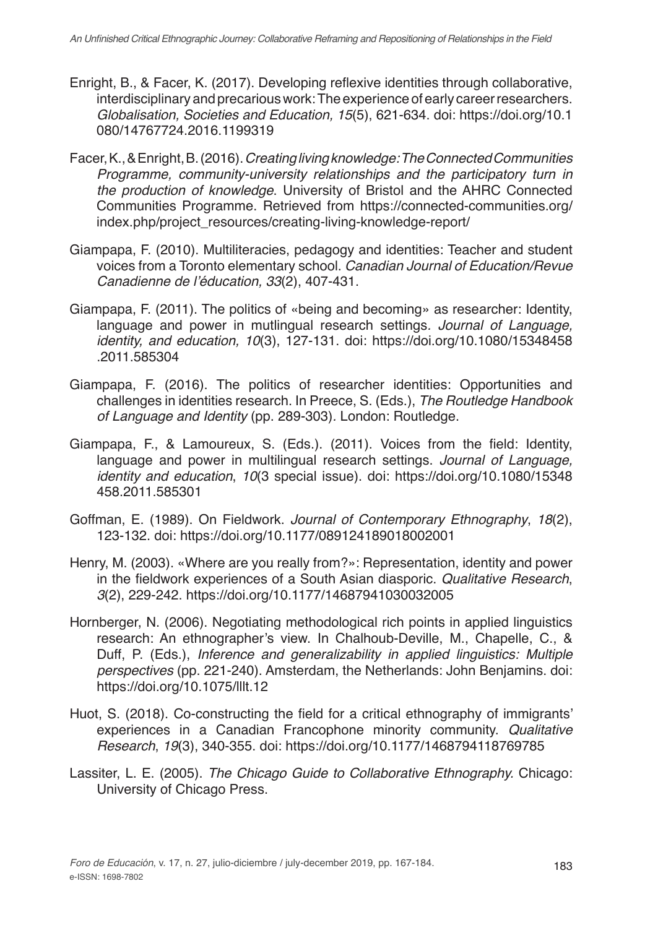- Enright, B., & Facer, K. (2017). Developing reflexive identities through collaborative, interdisciplinary and precarious work: The experience of early career researchers. *Globalisation, Societies and Education, 15*(5), 621-634. doi: https://doi.org/10.1 080/14767724.2016.1199319
- Facer, K., & Enright, B. (2016). *Creating living knowledge: The Connected Communities Programme, community-university relationships and the participatory turn in the production of knowledge*. University of Bristol and the AHRC Connected Communities Programme. Retrieved from https://connected-communities.org/ index.php/project\_resources/creating-living-knowledge-report/
- Giampapa, F. (2010). Multiliteracies, pedagogy and identities: Teacher and student voices from a Toronto elementary school. *Canadian Journal of Education/Revue*  Canadienne de l'éducation, 33(2), 407-431.
- Giampapa, F. (2011). The politics of «being and becoming» as researcher: Identity, language and power in mutlingual research settings*. Journal of Language, identity, and education, 10*(3), 127-131. doi: https://doi.org/10.1080/15348458 .2011.585304
- Giampapa, F. (2016). The politics of researcher identities: Opportunities and challenges in identities research. In Preece, S. (Eds.), *The Routledge Handbook of Language and Identity* (pp. 289-303)*.* London: Routledge.
- Giampapa, F., & Lamoureux, S. (Eds.). (2011). Voices from the field: Identity, language and power in multilingual research settings. *Journal of Language, identity and education*, *10*(3 special issue). doi: https://doi.org/10.1080/15348 458.2011.585301
- Goffman, E. (1989). On Fieldwork. *Journal of Contemporary Ethnography*, *18*(2), 123-132. doi: https://doi.org/10.1177/089124189018002001
- Henry, M. (2003). «Where are you really from?»: Representation, identity and power in the fieldwork experiences of a South Asian diasporic. *Qualitative Research*, 3(2), 229-242. https://doi.org/10.1177/14687941030032005
- Hornberger, N. (2006). Negotiating methodological rich points in applied linguistics research: An ethnographer's view. In Chalhoub-Deville, M., Chapelle, C., & Duff, P. (Eds.), *Inference and generalizability in applied linguistics: Multiple perspectives* (pp. 221-240). Amsterdam, the Netherlands: John Benjamins. doi: https://doi.org/10.1075/lllt.12
- Huot, S. (2018). Co-constructing the field for a critical ethnography of immigrants' experiences in a Canadian Francophone minority community. *Qualitative Research*, *19*(3), 340-355. doi: https://doi.org/10.1177/1468794118769785
- Lassiter, L. E. (2005). *The Chicago Guide to Collaborative Ethnography.* Chicago: University of Chicago Press.